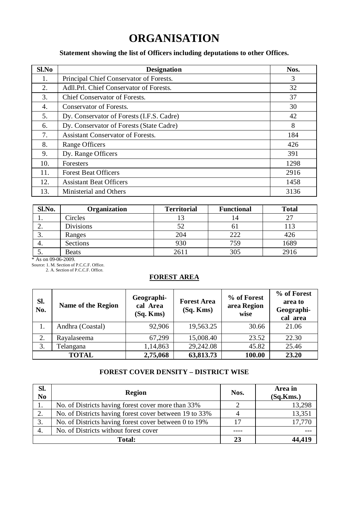# **ORGANISATION**

### **Statement showing the list of Officers including deputations to other Offices.**

| Sl.No | <b>Designation</b>                        | Nos. |
|-------|-------------------------------------------|------|
| 1.    | Principal Chief Conservator of Forests.   | 3    |
| 2.    | Adll.Prl. Chief Conservator of Forests.   | 32   |
| 3.    | Chief Conservator of Forests.             | 37   |
| 4.    | Conservator of Forests.                   | 30   |
| 5.    | Dy. Conservator of Forests (I.F.S. Cadre) | 42   |
| 6.    | Dy. Conservator of Forests (State Cadre)  | 8    |
| 7.    | <b>Assistant Conservator of Forests.</b>  | 184  |
| 8.    | Range Officers                            | 426  |
| 9.    | Dy. Range Officers                        | 391  |
| 10.   | Foresters                                 | 1298 |
| 11.   | <b>Forest Beat Officers</b>               | 2916 |
| 12.   | <b>Assistant Beat Officers</b>            | 1458 |
| 13.   | Ministerial and Others                    | 3136 |

| Sl.No.   | Organization     | <b>Territorial</b> | <b>Functional</b> | <b>Total</b> |
|----------|------------------|--------------------|-------------------|--------------|
|          | Circles          |                    |                   |              |
| <u>.</u> | <b>Divisions</b> |                    |                   | 13           |
|          | Ranges           | 204                | 222               | 426          |
| 4.       | Sections         | 930                | 759               | 1689         |
|          | <b>Beats</b>     | 2611               | 305               | 2916         |

\* As on 09-06-2009. Source: 1. M. Section of P.C.C.F. Office. 2. A. Section of P.C.C.F. Office.

#### **FOREST AREA**

| Sl.<br>No. | Name of the Region | Geographi-<br>cal Area<br>$(Sq.$ Kms $)$ | <b>Forest Area</b><br>(Sq. Kms) | % of Forest<br>area Region<br>wise | % of Forest<br>area to<br>Geographi-<br>cal area |
|------------|--------------------|------------------------------------------|---------------------------------|------------------------------------|--------------------------------------------------|
| 1.         | Andhra (Coastal)   | 92,906                                   | 19,563.25                       | 30.66                              | 21.06                                            |
| 2.         | Ravalaseema        | 67.299                                   | 15,008.40                       | 23.52                              | 22.30                                            |
| 3.         | Telangana          | 1,14,863                                 | 29,242.08                       | 45.82                              | 25.46                                            |
|            | <b>TOTAL</b>       | 2,75,068                                 | 63,813.73                       | 100.00                             | 23.20                                            |

## **FOREST COVER DENSITY – DISTRICT WISE**

| SI.<br>N <sub>0</sub> | Region                                                 | Nos. | Area in<br>(Sq.Kms.) |
|-----------------------|--------------------------------------------------------|------|----------------------|
|                       | No. of Districts having forest cover more than 33%     |      | 13,298               |
|                       | No. of Districts having forest cover between 19 to 33% |      | 13,351               |
|                       | No. of Districts having forest cover between 0 to 19%  |      | 17.770               |
| 4.                    | No. of Districts without forest cover                  |      |                      |
|                       | Total:                                                 | 23   |                      |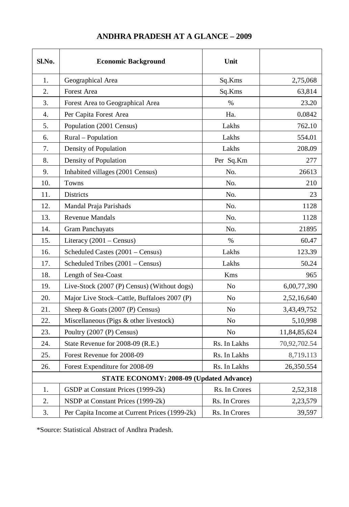| Sl.No.           | <b>Economic Background</b>                    | Unit           |              |
|------------------|-----------------------------------------------|----------------|--------------|
| 1.               | Geographical Area                             | Sq.Kms         | 2,75,068     |
| 2.               | Forest Area                                   | Sq.Kms         | 63,814       |
| 3.               | Forest Area to Geographical Area              | $\%$           | 23.20        |
| $\overline{4}$ . | Per Capita Forest Area                        | Ha.            | 0.0842       |
| 5.               | Population (2001 Census)                      | Lakhs          | 762.10       |
| 6.               | Rural - Population                            | Lakhs          | 554.01       |
| 7.               | Density of Population                         | Lakhs          | 208.09       |
| 8.               | Density of Population                         | Per Sq.Km      | 277          |
| 9.               | Inhabited villages (2001 Census)              | No.            | 26613        |
| 10.              | Towns                                         | No.            | 210          |
| 11.              | <b>Districts</b>                              | No.            | 23           |
| 12.              | Mandal Praja Parishads                        | No.            | 1128         |
| 13.              | <b>Revenue Mandals</b>                        | No.            | 1128         |
| 14.              | <b>Gram Panchayats</b>                        | No.            | 21895        |
| 15.              | Literacy (2001 - Census)                      | $\%$           | 60.47        |
| 16.              | Scheduled Castes (2001 – Census)              | Lakhs          | 123.39       |
| 17.              | Scheduled Tribes (2001 - Census)              | Lakhs          | 50.24        |
| 18.              | Length of Sea-Coast                           | Kms            | 965          |
| 19.              | Live-Stock (2007 (P) Census) (Without dogs)   | No             | 6,00,77,390  |
| 20.              | Major Live Stock-Cattle, Buffaloes 2007 (P)   | N <sub>0</sub> | 2,52,16,640  |
| 21.              | Sheep & Goats (2007 (P) Census)               | No             | 3,43,49,752  |
| 22.              | Miscellaneous (Pigs & other livestock)        | No             | 5,10,998     |
| 23.              | Poultry (2007 (P) Census)                     | N <sub>o</sub> | 11,84,85,624 |
| 24.              | State Revenue for 2008-09 (R.E.)              | Rs. In Lakhs   | 70,92,702.54 |
| 25.              | Forest Revenue for 2008-09                    | Rs. In Lakhs   | 8,719.113    |
| 26.              | Forest Expenditure for 2008-09                | Rs. In Lakhs   | 26,350.554   |
|                  | STATE ECONOMY: 2008-09 (Updated Advance)      |                |              |
| 1.               | GSDP at Constant Prices (1999-2k)             | Rs. In Crores  | 2,52,318     |
| 2.               | NSDP at Constant Prices (1999-2k)             | Rs. In Crores  | 2,23,579     |
| 3.               | Per Capita Income at Current Prices (1999-2k) | Rs. In Crores  | 39,597       |

## **ANDHRA PRADESH AT A GLANCE – 2009**

\*Source: Statistical Abstract of Andhra Pradesh.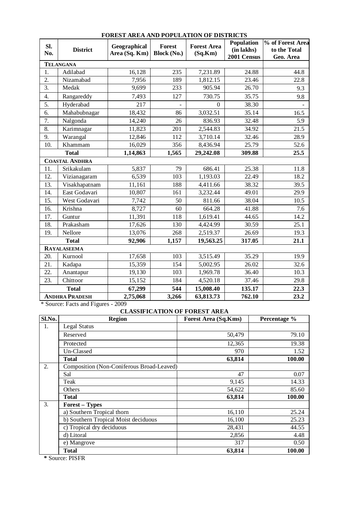| SI.<br>No. | <b>District</b>       | Geographical<br>Area (Sq. Km) | Forest<br><b>Block (No.)</b> | <b>Forest Area</b><br>(Sq.Km) | <b>Population</b><br>(in lakhs)<br>2001 Census | % of Forest Area<br>to the Total<br>Geo. Area |
|------------|-----------------------|-------------------------------|------------------------------|-------------------------------|------------------------------------------------|-----------------------------------------------|
|            | <b>TELANGANA</b>      |                               |                              |                               |                                                |                                               |
| 1.         | Adilabad              | 16,128                        | 235                          | 7,231.89                      | 24.88                                          | 44.8                                          |
| 2.         | Nizamabad             | 7.956                         | 189                          | 1,812.15                      | 23.46                                          | 22.8                                          |
| 3.         | Medak                 | 9,699                         | 233                          | 905.94                        | 26.70                                          | 9.3                                           |
| 4.         | Rangareddy            | 7,493                         | 127                          | 730.75                        | 35.75                                          | 9.8                                           |
| 5.         | Hyderabad             | 217                           |                              | $\Omega$                      | 38.30                                          |                                               |
| 6.         | Mahabubnagar          | 18,432                        | 86                           | 3,032.51                      | 35.14                                          | 16.5                                          |
| 7.         | Nalgonda              | 14,240                        | 26                           | 836.93                        | 32.48                                          | 5.9                                           |
| 8.         | Karimnagar            | 11,823                        | 201                          | 2,544.83                      | 34.92                                          | 21.5                                          |
| 9.         | Warangal              | 12,846                        | 112                          | 3,710.14                      | 32.46                                          | 28.9                                          |
| 10.        | Khammam               | 16,029                        | 356                          | 8,436.94                      | 25.79                                          | 52.6                                          |
|            | <b>Total</b>          | 1,14,863                      | 1,565                        | 29,242.08                     | 309.88                                         | 25.5                                          |
|            | <b>COASTAL ANDHRA</b> |                               |                              |                               |                                                |                                               |
| 11.        | Srikakulam            | 5,837                         | 79                           | 686.41                        | 25.38                                          | 11.8                                          |
| 12.        | Vizianagaram          | 6,539                         | 103                          | 1,193.03                      | 22.49                                          | 18.2                                          |
| 13.        | Visakhapatnam         | 11,161                        | 188                          | 4,411.66                      | 38.32                                          | 39.5                                          |
| 14.        | East Godavari         | 10,807                        | 161                          | 3,232.44                      | 49.01                                          | 29.9                                          |
| 15.        | West Godavari         | 7,742                         | 50                           | 811.66                        | 38.04                                          | 10.5                                          |
| 16.        | Krishna               | 8,727                         | 60                           | 664.28                        | 41.88                                          | 7.6                                           |
| 17.        | Guntur                | 11,391                        | 118                          | 1,619.41                      | 44.65                                          | 14.2                                          |
| 18.        | Prakasham             | 17,626                        | 130                          | 4,424.99                      | 30.59                                          | 25.1                                          |
| 19.        | Nellore               | 13,076                        | 268                          | 2,519.37                      | 26.69                                          | 19.3                                          |
|            | <b>Total</b>          | 92,906                        | 1,157                        | 19,563.25                     | 317.05                                         | 21.1                                          |
|            | <b>RAYALASEEMA</b>    |                               |                              |                               |                                                |                                               |
| 20.        | Kurnool               | 17,658                        | 103                          | 3,515.49                      | 35.29                                          | 19.9                                          |
| 21.        | Kadapa                | 15,359                        | 154                          | 5,002.95                      | 26.02                                          | 32.6                                          |
| 22.        | Anantapur             | 19,130                        | 103                          | 1,969.78                      | 36.40                                          | 10.3                                          |
| 23.        | Chittoor              | 15,152                        | 184                          | 4,520.18                      | 37.46                                          | 29.8                                          |
|            | <b>Total</b>          | 67,299                        | 544                          | 15,008.40                     | 135.17                                         | 22.3                                          |
|            | <b>ANDHRA PRADESH</b> | 2,75,068                      | 3,266                        | 63,813.73                     | 762.10                                         | 23.2                                          |

#### **FOREST AREA AND POPULATION OF DISTRICTS**

\* Source: Facts and Figures - 2009

## **CLASSIFICATION OF FOREST AREA**

| Sl.No. | <b>Region</b>                             | <b>Forest Area (Sq.Kms)</b> | Percentage % |
|--------|-------------------------------------------|-----------------------------|--------------|
| 1.     | Legal Status                              |                             |              |
|        | Reserved                                  | 50,479                      | 79.10        |
|        | Protected                                 | 12,365                      | 19.38        |
|        | Un-Classed                                | 970                         | 1.52         |
|        | Total                                     | 63,814                      | 100.00       |
| 2.     | Composition (Non-Coniferous Broad-Leaved) |                             |              |
|        | Sal                                       | 47                          | 0.07         |
|        | Teak                                      | 9.145                       | 14.33        |
|        | Others                                    | 54,622                      | 85.60        |
|        | Total                                     | 63,814                      | 100.00       |
| 3.     | <b>Forest - Types</b>                     |                             |              |
|        | a) Southern Tropical thorn                | 16,110                      | 25.24        |
|        | b) Southern Tropical Moist deciduous      | 16,100                      | 25.23        |
|        | c) Tropical dry deciduous                 | 28,431                      | 44.55        |
|        | d) Litoral                                | 2.856                       | 4.48         |
|        | e) Mangrove                               | 317                         | 0.50         |
|        | Total                                     | 63.814                      | 100.00       |

**\*** Source: PISFR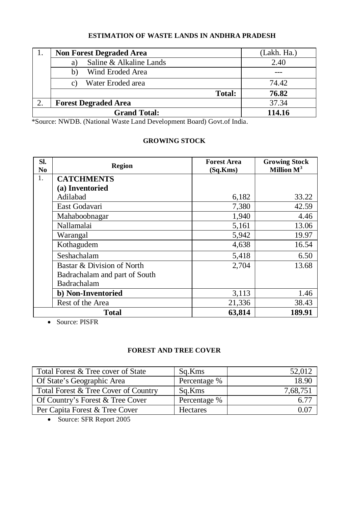## **ESTIMATION OF WASTE LANDS IN ANDHRA PRADESH**

| <b>Non Forest Degraded Area</b> | (Lakh. Ha.) |
|---------------------------------|-------------|
| Saline & Alkaline Lands<br>a l  | 2.40        |
| Wind Eroded Area<br>b)          |             |
| Water Eroded area               | 74.42       |
| Total:                          | 76.82       |
| <b>Forest Degraded Area</b>     | 37.34       |
| <b>Grand Total:</b>             | 114.16      |

\*Source: NWDB. (National Waste Land Development Board) Govt.of India.

## **GROWING STOCK**

| SI.<br>N <sub>0</sub> | <b>Region</b>                 | <b>Forest Area</b><br>(Sq.Kms) | <b>Growing Stock</b><br>Million $M^3$ |  |
|-----------------------|-------------------------------|--------------------------------|---------------------------------------|--|
| 1.                    | <b>CATCHMENTS</b>             |                                |                                       |  |
|                       | (a) Inventoried               |                                |                                       |  |
|                       | Adilabad                      | 6,182                          | 33.22                                 |  |
|                       | East Godavari                 | 7,380                          | 42.59                                 |  |
|                       | Mahaboobnagar                 | 1,940                          | 4.46                                  |  |
|                       | Nallamalai                    | 5,161                          | 13.06                                 |  |
|                       | Warangal                      | 5,942                          | 19.97                                 |  |
|                       | Kothagudem                    | 4,638                          | 16.54                                 |  |
|                       | Seshachalam                   | 5,418                          | 6.50                                  |  |
|                       | Bastar & Division of North    | 2,704                          | 13.68                                 |  |
|                       | Badrachalam and part of South |                                |                                       |  |
|                       | Badrachalam                   |                                |                                       |  |
|                       | b) Non-Inventoried            | 3,113                          | 1.46                                  |  |
|                       | Rest of the Area              | 21,336                         | 38.43                                 |  |
|                       | <b>Total</b>                  | 63,814                         | 189.91                                |  |

Source: PISFR

## **FOREST AND TREE COVER**

| Total Forest & Tree cover of State   | Sq.Kms          | 52,012   |
|--------------------------------------|-----------------|----------|
| Of State's Geographic Area           | Percentage %    | 18.90    |
| Total Forest & Tree Cover of Country | Sq.Kms          | 7,68,751 |
| Of Country's Forest & Tree Cover     | Percentage %    |          |
| Per Capita Forest & Tree Cover       | <b>Hectares</b> | ).Oʻ     |

• Source: SFR Report 2005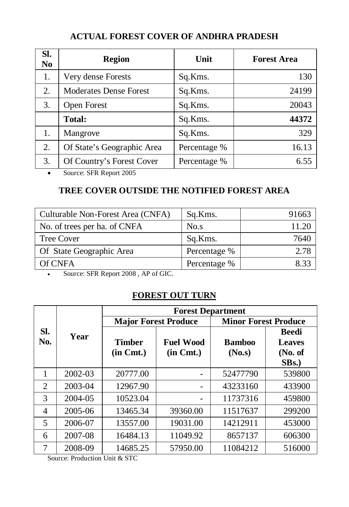# **ACTUAL FOREST COVER OF ANDHRA PRADESH**

| SI.<br>N <sub>0</sub> | <b>Region</b>                 | Unit         | <b>Forest Area</b> |
|-----------------------|-------------------------------|--------------|--------------------|
| 1.                    | Very dense Forests            | Sq.Kms.      | 130                |
| 2.                    | <b>Moderates Dense Forest</b> | Sq.Kms.      | 24199              |
| 3.                    | Open Forest                   | Sq.Kms.      | 20043              |
|                       | Total:                        | Sq.Kms.      | 44372              |
| 1.                    | Mangrove                      | Sq.Kms.      | 329                |
| 2.                    | Of State's Geographic Area    | Percentage % | 16.13              |
| 3.                    | Of Country's Forest Cover     | Percentage % | 6.55               |

• Source: SFR Report 2005

# **TREE COVER OUTSIDE THE NOTIFIED FOREST AREA**

| Culturable Non-Forest Area (CNFA) | Sq.Kms.      | 91663 |
|-----------------------------------|--------------|-------|
| No. of trees per ha. of CNFA      | No.s         | 11.20 |
| <b>Tree Cover</b>                 | Sq.Kms.      | 7640  |
| Of State Geographic Area          | Percentage % | 2.78  |
| Of CNFA                           | Percentage % | 8 33  |

Source: SFR Report 2008 , AP of GIC.

## **FOREST OUT TURN**

|            |         | <b>Forest Department</b>        |                                    |                             |                                                                |  |  |  |
|------------|---------|---------------------------------|------------------------------------|-----------------------------|----------------------------------------------------------------|--|--|--|
|            |         | <b>Major Forest Produce</b>     |                                    | <b>Minor Forest Produce</b> |                                                                |  |  |  |
| SI.<br>No. | Year    | <b>Timber</b><br>$(in \, Cmt.)$ | <b>Fuel Wood</b><br>$(in \, Cmt.)$ | <b>Bamboo</b><br>(No.s)     | <b>Beedi</b><br><b>Leaves</b><br>(No. of<br>SB <sub>s</sub> .) |  |  |  |
| 1          | 2002-03 | 20777.00                        |                                    | 52477790                    | 539800                                                         |  |  |  |
| 2          | 2003-04 | 12967.90                        |                                    | 43233160                    | 433900                                                         |  |  |  |
| 3          | 2004-05 | 10523.04                        |                                    | 11737316                    | 459800                                                         |  |  |  |
| 4          | 2005-06 | 13465.34                        | 39360.00                           | 11517637                    | 299200                                                         |  |  |  |
| 5          | 2006-07 | 13557.00                        | 19031.00                           | 14212911                    | 453000                                                         |  |  |  |
| 6          | 2007-08 | 16484.13                        | 11049.92                           | 8657137                     | 606300                                                         |  |  |  |
| 7          | 2008-09 | 14685.25                        | 57950.00                           | 11084212                    | 516000                                                         |  |  |  |

Source: Production Unit & STC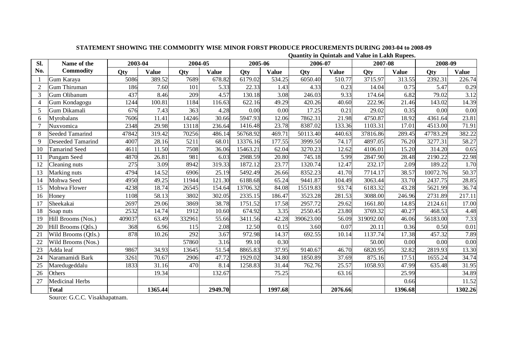|  | Quantity in Quintals and Value in Lakh Rupees. |  |  |  |
|--|------------------------------------------------|--|--|--|
|  |                                                |  |  |  |

| Sl.            | Name of the              | 2003-04 |              | 2004-05 |              | 2005-06  |         | 2006-07   |              | 2007-08   |         | 2008-09  |              |
|----------------|--------------------------|---------|--------------|---------|--------------|----------|---------|-----------|--------------|-----------|---------|----------|--------------|
| No.            | Commodity                | Otv     | <b>Value</b> | Otv     | <b>Value</b> | Otv      | Value   | Otv       | <b>Value</b> | Otv       | Value   | Otv      | <b>Value</b> |
|                | Gum Karaya               | 5086    | 389.52       | 7689    | 678.82       | 6179.02  | 534.25  | 6050.40   | 510.77       | 3715.97   | 313.55  | 2392.31  | 226.74       |
| $\overline{2}$ | Gum Thiruman             | 186     | 7.60         | 101     | 5.33         | 22.33    | 1.43    | 4.33      | 0.23         | 14.04     | 0.75    | 5.47     | 0.29         |
| 3              | Gum Olibanum             | 437     | 8.46         | 209     | 4.57         | 130.18   | 3.08    | 246.03    | 9.33         | 174.64    | 6.82    | 79.02    | 3.12         |
| $\overline{4}$ | Gum Kondagogu            | 1244    | 100.81       | 1184    | 116.63       | 622.16   | 49.29   | 420.26    | 40.60        | 222.96    | 21.46   | 143.02   | 14.39        |
| 5              | Gum Dikamali             | 676     | 7.43         | 363     | 4.28         | 0.00     | 0.00    | 17.25     | 0.21         | 29.02     | 0.35    | 0.00     | 0.00         |
| 6              | Myrobalans               | 7606    | 11.41        | 14246   | 30.66        | 5947.93  | 12.06   | 7862.31   | 21.98        | 4750.87   | 18.92   | 4361.64  | 23.81        |
|                | Nuxvomica                | 2348    | 29.98        | 13118   | 236.64       | 1416.48  | 23.78   | 8387.02   | 133.36       | 1103.31   | 17.01   | 4513.00  | 71.91        |
| 8              | <b>Seeded Tamarind</b>   | 47842   | 319.42       | 70256   | 486.14       | 56768.92 | 469.71  | 50113.40  | 440.63       | 37816.86  | 289.45  | 47783.29 | 382.22       |
| 9              | <b>Deseeded Tamarind</b> | 4007    | 28.16        | 5211    | 68.01        | 13376.16 | 177.55  | 3999.50   | 74.17        | 4897.05   | 76.20   | 3277.31  | 58.27        |
| 10             | <b>Tamarind Seed</b>     | 4611    | 11.50        | 7508    | 36.06        | 15463.21 | 62.04   | 3270.23   | 12.62        | 4106.01   | 15.20   | 314.20   | 0.65         |
| 11             | Pungam Seed              | 4870    | 26.81        | 981     | 6.03         | 2988.59  | 20.80   | 745.18    | 5.99         | 2847.90   | 28.48   | 2190.22  | 22.98        |
| 12             | Cleaning nuts            | 275     | 3.09         | 8942    | 319.33       | 1872.12  | 23.77   | 1320.74   | 12.47        | 232.17    | 2.09    | 189.22   | 1.70         |
| 13             | Marking nuts             | 4794    | 14.52        | 6906    | 25.19        | 5492.49  | 26.66   | 8352.23   | 41.70        | 7714.17   | 38.57   | 10072.76 | 50.37        |
| 14             | Mohwa Seed               | 4950    | 49.25        | 11944   | 121.30       | 6188.68  | 65.24   | 9441.87   | 104.49       | 3063.44   | 33.70   | 2437.75  | 28.85        |
| 15             | Mohwa Flower             | 4238    | 18.74        | 26545   | 154.64       | 13706.32 | 84.08   | 15519.83  | 93.74        | 6183.32   | 43.28   | 5621.99  | 36.74        |
| 16             | Honey                    | 1108    | 58.13        | 3802    | 302.05       | 2335.15  | 186.47  | 3523.28   | 281.53       | 3088.00   | 246.96  | 2731.89  | 217.11       |
| 17             | Sheekakai                | 2697    | 29.06        | 3869    | 38.78        | 1751.52  | 17.58   | 2957.72   | 29.62        | 1661.80   | 14.85   | 2124.61  | 17.00        |
| 18             | Soap nuts                | 2532    | 14.74        | 1912    | 10.60        | 674.92   | 3.35    | 2550.45   | 23.80        | 3769.32   | 40.27   | 468.53   | 4.48         |
| 19             | Hill Brooms (Nos.)       | 409037  | 63.49        | 332961  | 55.66        | 3411.56  | 42.28   | 390623.00 | 56.09        | 319092.00 | 46.06   | 56183.00 | 7.33         |
| 20             | Hill Brooms (Otls.)      | 368     | 6.96         | 115     | 2.08         | 12.50    | 0.15    | 3.60      | 0.07         | 20.11     | 0.36    | 0.50     | 0.01         |
| 21             | Wild Brooms (Qtls.)      | 878     | 10.26        | 292     | 3.67         | 972.98   | 14.37   | 692.55    | 10.14        | 1137.74   | 17.38   | 457.32   | 7.89         |
| 22             | Wild Brooms (Nos.)       |         |              | 57860   | 3.16         | 99.10    | 0.30    |           |              | 50.00     | 0.00    | 0.00     | 0.00         |
| 23             | Adda leaf                | 9867    | 34.93        | 13645   | 51.54        | 8865.83  | 37.95   | 9140.67   | 46.70        | 6820.95   | 32.82   | 2819.93  | 13.30        |
| 24             | Naramamidi Bark          | 3261    | 70.67        | 2906    | 47.72        | 1929.02  | 34.80   | 1850.89   | 37.69        | 875.16    | 17.51   | 1655.24  | 34.74        |
| 25             | Maredugeddalu            | 1833    | 31.16        | 470     | 8.14         | 1258.83  | 31.44   | 762.76    | 25.57        | 1058.93   | 47.99   | 635.48   | 31.95        |
| 26             | Others                   |         | 19.34        |         | 132.67       |          | 75.25   |           | 63.16        |           | 25.99   |          | 34.89        |
| 27             | Medicinal Herbs          |         |              |         |              |          |         |           |              |           | 0.66    |          | 11.52        |
|                | Total                    |         | 1365.44      |         | 2949.70      |          | 1997.68 |           | 2076.66      |           | 1396.68 |          | 1302.26      |

Source: G.C.C. Visakhapatnam.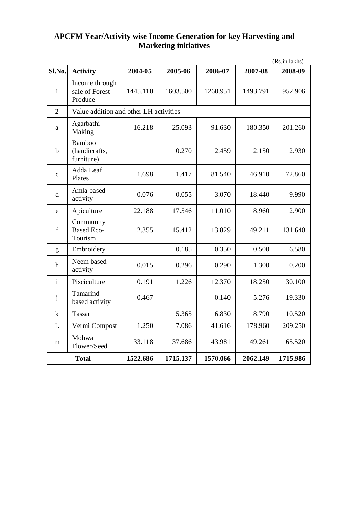## **APCFM Year/Activity wise Income Generation for key Harvesting and Marketing initiatives**

|                |                                              |          |          |          |          | (Rs.in lakhs) |
|----------------|----------------------------------------------|----------|----------|----------|----------|---------------|
| Sl.No.         | <b>Activity</b>                              | 2004-05  | 2005-06  | 2006-07  | 2007-08  | 2008-09       |
| $\mathbf{1}$   | Income through<br>sale of Forest<br>Produce  | 1445.110 | 1603.500 | 1260.951 | 1493.791 | 952.906       |
| $\mathfrak{D}$ | Value addition and other LH activities       |          |          |          |          |               |
| a              | Agarbathi<br>Making                          | 16.218   | 25.093   | 91.630   | 180.350  | 201.260       |
| b              | <b>Bamboo</b><br>(handicrafts,<br>furniture) |          | 0.270    | 2.459    | 2.150    | 2.930         |
| $\mathbf{c}$   | Adda Leaf<br>Plates                          | 1.698    | 1.417    | 81.540   | 46.910   | 72.860        |
| d              | Amla based<br>activity                       | 0.076    | 0.055    | 3.070    | 18.440   | 9.990         |
| e              | Apiculture                                   | 22.188   | 17.546   | 11.010   | 8.960    | 2.900         |
| f              | Community<br><b>Based Eco-</b><br>Tourism    | 2.355    | 15.412   | 13.829   | 49.211   | 131.640       |
| g              | Embroidery                                   |          | 0.185    | 0.350    | 0.500    | 6.580         |
| h              | Neem based<br>activity                       | 0.015    | 0.296    | 0.290    | 1.300    | 0.200         |
| $\mathbf{i}$   | Pisciculture                                 | 0.191    | 1.226    | 12.370   | 18.250   | 30.100        |
| j              | Tamarind<br>based activity                   | 0.467    |          | 0.140    | 5.276    | 19.330        |
| $\bf k$        | Tassar                                       |          | 5.365    | 6.830    | 8.790    | 10.520        |
| L              | Vermi Compost                                | 1.250    | 7.086    | 41.616   | 178.960  | 209.250       |
| m              | Mohwa<br>Flower/Seed                         | 33.118   | 37.686   | 43.981   | 49.261   | 65.520        |
|                | <b>Total</b>                                 | 1522.686 | 1715.137 | 1570.066 | 2062.149 | 1715.986      |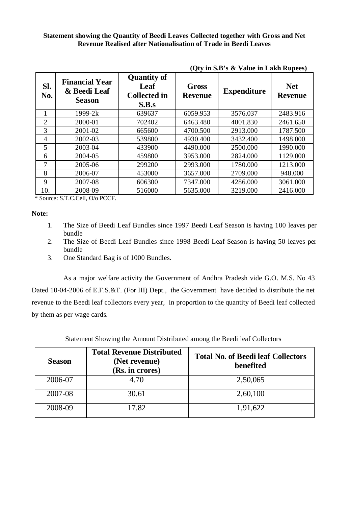#### **Statement showing the Quantity of Beedi Leaves Collected together with Gross and Net Revenue Realised after Nationalisation of Trade in Beedi Leaves**

| SI.<br>No.     | <b>Financial Year</b><br>& Beedi Leaf<br><b>Season</b> | <b>Quantity of</b><br>Leaf<br><b>Collected in</b><br>S.B.s | Gross<br><b>Revenue</b> | <b>Expenditure</b> | <b>Net</b><br><b>Revenue</b> |
|----------------|--------------------------------------------------------|------------------------------------------------------------|-------------------------|--------------------|------------------------------|
| 1              | $1999 - 2k$                                            | 639637                                                     | 6059.953                | 3576.037           | 2483.916                     |
| 2              | 2000-01                                                | 702402                                                     | 6463.480                | 4001.830           | 2461.650                     |
| 3              | 2001-02                                                | 665600                                                     | 4700.500                | 2913.000           | 1787.500                     |
| $\overline{4}$ | 2002-03                                                | 539800                                                     | 4930.400                | 3432.400           | 1498.000                     |
| 5              | 2003-04                                                | 433900                                                     | 4490.000                | 2500.000           | 1990.000                     |
| 6              | 2004-05                                                | 459800                                                     | 3953.000                | 2824.000           | 1129.000                     |
| 7              | 2005-06                                                | 299200                                                     | 2993.000                | 1780.000           | 1213.000                     |
| 8              | 2006-07                                                | 453000                                                     | 3657.000                | 2709.000           | 948.000                      |
| 9              | 2007-08                                                | 606300                                                     | 7347.000                | 4286.000           | 3061.000                     |
| 10.            | 2008-09                                                | 516000                                                     | 5635.000                | 3219.000           | 2416.000                     |

**(Qty in S.B's & Value in Lakh Rupees)**

\* Source: S.T.C.Cell, O/o PCCF.

#### **Note:**

- 1. The Size of Beedi Leaf Bundles since 1997 Beedi Leaf Season is having 100 leaves per bundle
- 2. The Size of Beedi Leaf Bundles since 1998 Beedi Leaf Season is having 50 leaves per bundle
- 3. One Standard Bag is of 1000 Bundles.

As a major welfare activity the Government of Andhra Pradesh vide G.O. M.S. No 43 Dated 10-04-2006 of E.F.S.&T. (For III) Dept., the Government have decided to distribute the net revenue to the Beedi leaf collectors every year, in proportion to the quantity of Beedi leaf collected by them as per wage cards.

| Statement Showing the Amount Distributed among the Beedi leaf Collectors |  |
|--------------------------------------------------------------------------|--|
|                                                                          |  |

| <b>Season</b> | <b>Total Revenue Distributed</b><br>(Net revenue)<br>(Rs. in crores) | <b>Total No. of Beedi leaf Collectors</b><br>benefited |
|---------------|----------------------------------------------------------------------|--------------------------------------------------------|
| 2006-07       | 4.70                                                                 | 2,50,065                                               |
| 2007-08       | 30.61                                                                | 2,60,100                                               |
| 2008-09       | 17.82                                                                | 1,91,622                                               |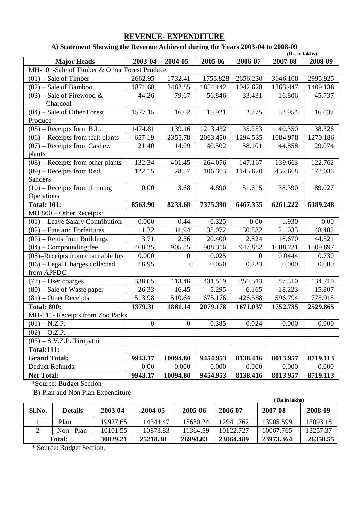## **REVENUE- EXPENDITURE**

## **A) Statement Showing the Revenue Achieved during the Years 2003-04 to 2008-09**

|                                              |              |              |          |          | (Rs. in lakhs) |          |
|----------------------------------------------|--------------|--------------|----------|----------|----------------|----------|
| <b>Major Heads</b>                           | $2003 - 04$  | 2004-05      | 2005-06  | 2006-07  | 2007-08        | 2008-09  |
| MH-101-Sale of Timber & Other Forest Produce |              |              |          |          |                |          |
| $(01)$ – Sale of Timber                      | 2662.95      | 1732.41      | 1755.828 | 2656.230 | 3146.108       | 2995.925 |
| (02) - Sale of Bamboo                        | 1871.68      | 2462.85      | 1854.142 | 1042.628 | 1263.447       | 1409.138 |
| $(03)$ – Sale of Firewood &                  | 44.26        | 79.67        | 56.846   | 33.431   | 16.806         | 45.737   |
| Charcoal                                     |              |              |          |          |                |          |
| $(04)$ – Sale of Other Forest                | 1577.15      | 16.02        | 15.921   | 2.775    | 53.954         | 16.037   |
| Produce                                      |              |              |          |          |                |          |
| $(05)$ – Receipts form B.L.                  | 1474.81      | 1139.16      | 1213.432 | 35.253   | 40.350         | 38.326   |
| $(06)$ – Receipts from teak plants           | 657.19       | 2355.78      | 2063.450 | 1294.535 | 1084.978       | 1270.186 |
| $(07)$ – Receipts from Cashew                | 21.40        | 14.09        | 40.502   | 58.101   | 44.858         | 29.074   |
| plants                                       |              |              |          |          |                |          |
| $(08)$ – Receipts from other plants          | 132.34       | 401.45       | 264.076  | 147.167  | 139.663        | 122.762  |
| $(09)$ – Receipts from Red                   | 122.15       | 28.57        | 106.303  | 1145.620 | 432.668        | 173.036  |
| Sanders                                      |              |              |          |          |                |          |
| $(10)$ – Receipts from thinning              | 0.00         | 3.68         | 4.890    | 51.615   | 38.390         | 89.027   |
| Operations                                   |              |              |          |          |                |          |
| <b>Total: 101:</b>                           | 8563.90      | 8233.68      | 7375.390 | 6467.355 | 6261.222       | 6189.248 |
| MH 800 - Other Receipts:                     |              |              |          |          |                |          |
| $(01)$ – Leave Salary Contribution           | 0.000        | 0.44         | 0.325    | 0.00     | 1.930          | 0.00     |
| $(02)$ – Fine and Forfeitures                | 11.32        | 11.94        | 38.072   | 30.832   | 21.033         | 48.482   |
| $(03)$ – Rents from Buildings                | 3.71         | 2.36         | 20.400   | 2.824    | 18.670         | 44.521   |
| $(04)$ – Compounding fee                     | 468.35       | 905.85       | 908.316  | 947.882  | 1008.731       | 1509.697 |
| (05)-Receipts from charitable Inst           | 0.000        | $\mathbf{0}$ | 0.025    | $\Omega$ | 0.0444         | 0.730    |
| $(06)$ – Legal Charges collected             | 16.95        | $\theta$     | 0.050    | 0.233    | 0.000          | 0.000    |
| from APFDC                                   |              |              |          |          |                |          |
| $(77)$ – User charges                        | 338.65       | 413.46       | 431.519  | 256.513  | 87.310         | 134.710  |
| (80) – Sale of Waste paper                   | 26.33        | 16.45        | 5.295    | 6.165    | 18.223         | 15.807   |
| $(81)$ – Other Receipts                      | 513.98       | 510.64       | 675.176  | 426.588  | 596.794        | 775.918  |
| <b>Total: 800:</b>                           | 1379.31      | 1861.14      | 2079.178 | 1671.037 | 1752.735       | 2529.865 |
| MH-111- Receipts from Zoo Parks              |              |              |          |          |                |          |
| $(01) - N.Z.P.$                              | $\mathbf{0}$ | $\mathbf{0}$ | 0.385    | 0.024    | 0.000          | 0.000    |
| $(02) - O.Z.P.$                              |              |              |          |          |                |          |
| $(03) - S.V.Z.P.$ Tirupathi                  |              |              |          |          |                |          |
| <b>Total:111:</b>                            |              |              |          |          |                |          |
| <b>Grand Total:</b>                          | 9943.17      | 10094.80     | 9454.953 | 8138.416 | 8013.957       | 8719.113 |
| Deduct Refunds:                              | 0.00         | 0.000        | 0.000    | 0.000    | 0.000          | 0.000    |
| <b>Net Total:</b>                            | 9943.17      | 10094.80     | 9454.953 | 8138.416 | 8013.957       | 8719.113 |

\*Source: Budget Section

B) Plan and Non Plan Expenditure

|        | D) I fail and ivon I fail Expenditure |          |          |          |           | Rs.in lakhs) |          |
|--------|---------------------------------------|----------|----------|----------|-----------|--------------|----------|
| Sl.No. | <b>Details</b>                        | 2003-04  | 2004-05  | 2005-06  | 2006-07   | 2007-08      | 2008-09  |
|        | Plan                                  | 19927.65 | 14344.47 | 15630.24 | 12941.762 | 13905.599    | 13093.18 |
|        | $Non-Plan$                            | 10101.55 | 10873.83 | 11364.59 | 10122.727 | 10067.765    | 13257.37 |
|        | Total:                                | 30029.21 | 25218.30 | 26994.83 | 23064.489 | 23973.364    | 26350.55 |

\* Source: Budget Section.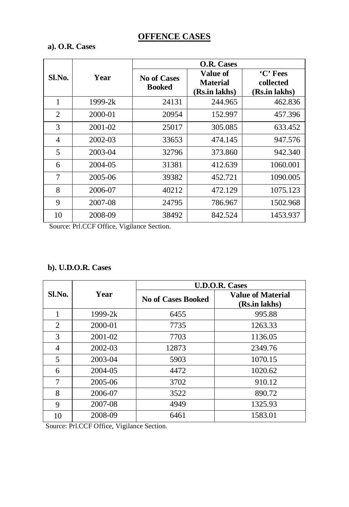# **OFFENCE CASES**

## **a). O.R. Cases**

|        |             |                              | O.R. Cases                                   |                                        |  |  |  |  |
|--------|-------------|------------------------------|----------------------------------------------|----------------------------------------|--|--|--|--|
| Sl.No. | Year        | <b>No of Cases</b><br>Booked | Value of<br><b>Material</b><br>(Rs.in lakhs) | 'C' Fees<br>collected<br>(Rs.in lakhs) |  |  |  |  |
| 1      | $1999 - 2k$ | 24131                        | 244.965                                      | 462.836                                |  |  |  |  |
| 2      | 2000-01     | 20954                        | 152.997                                      | 457.396                                |  |  |  |  |
| 3      | 2001-02     | 25017                        | 305.085                                      | 633.452                                |  |  |  |  |
| 4      | 2002-03     | 33653                        | 474.145                                      | 947.576                                |  |  |  |  |
| 5      | 2003-04     | 32796                        | 373.860                                      | 942.340                                |  |  |  |  |
| 6      | 2004-05     | 31381                        | 412.639                                      | 1060.001                               |  |  |  |  |
| 7      | 2005-06     | 39382                        | 452.721                                      | 1090.005                               |  |  |  |  |
| 8      | 2006-07     | 40212                        | 472.129                                      | 1075.123                               |  |  |  |  |
| 9      | 2007-08     | 24795                        | 786.967                                      | 1502.968                               |  |  |  |  |
| 10     | 2008-09     | 38492                        | 842.524                                      | 1453.937                               |  |  |  |  |

Source: Prl.CCF Office, Vigilance Section.

## **b). U.D.O.R. Cases**

|        |           |                           | <b>U.D.O.R. Cases</b>                     |
|--------|-----------|---------------------------|-------------------------------------------|
| Sl.No. | Year      | <b>No of Cases Booked</b> | <b>Value of Material</b><br>(Rs.in lakhs) |
| 1      | $1999-2k$ | 6455                      | 995.88                                    |
| 2      | 2000-01   | 7735                      | 1263.33                                   |
| 3      | 2001-02   | 7703                      | 1136.05                                   |
| 4      | 2002-03   | 12873                     | 2349.76                                   |
| 5      | 2003-04   | 5903                      | 1070.15                                   |
| 6      | 2004-05   | 4472                      | 1020.62                                   |
| 7      | 2005-06   | 3702                      | 910.12                                    |
| 8      | 2006-07   | 3522                      | 890.72                                    |
| 9      | 2007-08   | 4949                      | 1325.93                                   |
| 10     | 2008-09   | 6461                      | 1583.01                                   |

Source: Prl.CCF Office, Vigilance Section.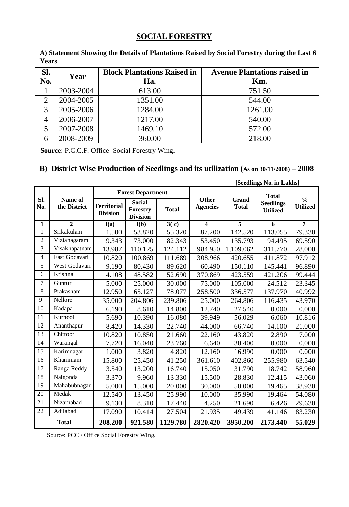## **SOCIAL FORESTRY**

| Sl.<br>No. | Year      | <b>Block Plantations Raised in</b><br>Ha. | <b>Avenue Plantations raised in</b><br>Km. |
|------------|-----------|-------------------------------------------|--------------------------------------------|
|            | 2003-2004 | 613.00                                    | 751.50                                     |
|            | 2004-2005 | 1351.00                                   | 544.00                                     |
| 3          | 2005-2006 | 1284.00                                   | 1261.00                                    |
|            | 2006-2007 | 1217.00                                   | 540.00                                     |
| 5          | 2007-2008 | 1469.10                                   | 572.00                                     |
|            | 2008-2009 | 360.00                                    | 218.00                                     |

**A) Statement Showing the Details of Plantations Raised by Social Forestry during the Last 6 Years**

 **Source**: P.C.C.F. Office- Social Forestry Wing.

## **B) District Wise Production of Seedlings and its utilization (As on 30/11/2008) – 2008**

|                | [Seedlings No. in Lakhs] |                 |                                           |              |                          |                       |                                  |                                           |
|----------------|--------------------------|-----------------|-------------------------------------------|--------------|--------------------------|-----------------------|----------------------------------|-------------------------------------------|
| Sl.<br>No.     | Name of<br>the District  | Territorial     | <b>Forest Department</b><br><b>Social</b> |              | Other<br><b>Agencies</b> | Grand<br><b>Total</b> | <b>Total</b><br><b>Seedlings</b> | $\mathbf{0}_{\Lambda}$<br><b>Utilized</b> |
|                |                          | <b>Division</b> | Forestry<br><b>Division</b>               | <b>Total</b> |                          |                       | <b>Utilized</b>                  |                                           |
| 1              | $\overline{2}$           | 3(a)            | 3(b)                                      | 3(c)         | $\overline{\mathbf{4}}$  | 5                     | 6                                | $\overline{7}$                            |
| 1              | Srikakulam               | 1.500           | 53.820                                    | 55.320       | 87.200                   | 142.520               | 113.055                          | 79.330                                    |
| $\overline{c}$ | Vizianagaram             | 9.343           | 73.000                                    | 82.343       | 53.450                   | 135.793               | 94.495                           | 69.590                                    |
| 3              | Visakhapatnam            | 13.987          | 110.125                                   | 124.112      | 984.950                  | 1,109.062             | 311.770                          | 28.000                                    |
| $\overline{4}$ | East Godavari            | 10.820          | 100.869                                   | 111.689      | 308.966                  | 420.655               | 411.872                          | 97.912                                    |
| 5              | West Godavari            | 9.190           | 80.430                                    | 89.620       | 60.490                   | 150.110               | 145.441                          | 96.890                                    |
| 6              | Krishna                  | 4.108           | 48.582                                    | 52.690       | 370.869                  | 423.559               | 421.206                          | 99.444                                    |
| $\overline{7}$ | Guntur                   | 5.000           | 25.000                                    | 30.000       | 75.000                   | 105.000               | 24.512                           | 23.345                                    |
| 8              | Prakasham                | 12.950          | 65.127                                    | 78.077       | 258.500                  | 336.577               | 137.970                          | 40.992                                    |
| $\mathbf{Q}$   | Nellore                  | 35.000          | 204.806                                   | 239.806      | 25.000                   | 264.806               | 116.435                          | 43.970                                    |
| 10             | Kadapa                   | 6.190           | 8.610                                     | 14.800       | 12.740                   | 27.540                | 0.000                            | 0.000                                     |
| 11             | Kurnool                  | 5.690           | 10.390                                    | 16.080       | 39.949                   | 56.029                | 6.060                            | 10.816                                    |
| 12             | Ananthapur               | 8.420           | 14.330                                    | 22.740       | 44.000                   | 66.740                | 14.100                           | 21.000                                    |
| 13             | Chittoor                 | 10.820          | 10.850                                    | 21.660       | 22.160                   | 43.820                | 2.890                            | 7.000                                     |
| 14             | Warangal                 | 7.720           | 16.040                                    | 23.760       | 6.640                    | 30.400                | 0.000                            | 0.000                                     |
| 15             | Karimnagar               | 1.000           | 3.820                                     | 4.820        | 12.160                   | 16.990                | 0.000                            | 0.000                                     |
| 16             | Khammam                  | 15.800          | 25.450                                    | 41.250       | 361.610                  | 402.860               | 255.980                          | 63.540                                    |
| 17             | Ranga Reddy              | 3.540           | 13.200                                    | 16.740       | 15.050                   | 31.790                | 18.742                           | 58.960                                    |
| 18             | Nalgonda                 | 3.370           | 9.960                                     | 13.330       | 15.500                   | 28.830                | 12.415                           | 43.060                                    |
| 19             | Mahabubnagar             | 5.000           | 15.000                                    | 20.000       | 30.000                   | 50.000                | 19.465                           | 38.930                                    |
| 20             | Medak                    | 12.540          | 13.450                                    | 25.990       | 10.000                   | 35.990                | 19.464                           | 54.080                                    |
| 21             | Nizamabad                | 9.130           | 8.310                                     | 17.440       | 4.250                    | 21.690                | 6.426                            | 29.630                                    |
| 22             | Adilabad                 | 17.090          | 10.414                                    | 27.504       | 21.935                   | 49.439                | 41.146                           | 83.230                                    |
|                | <b>Total</b>             | 208.200         | 921.580                                   | 1129.780     | 2820.420                 | 3950.200              | 2173.440                         | 55.029                                    |

Source: PCCF Office Social Forestry Wing.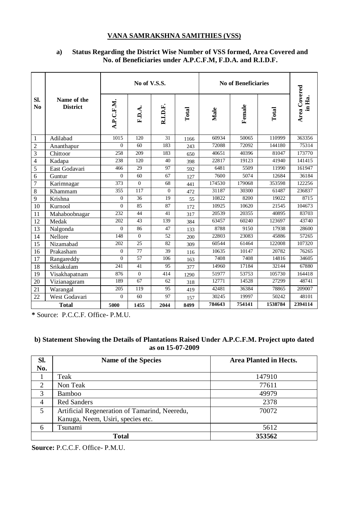#### **VANA SAMRAKSHNA SAMITHIES (VSS)**

#### **a) Status Regarding the District Wise Number of VSS formed, Area Covered and No. of Beneficiaries under A.P.C.F.M, F.D.A. and R.I.D.F.**

|                         |                                | No of V.S.S. |                |              | No of Beneficiaries |        |        |         |                        |
|-------------------------|--------------------------------|--------------|----------------|--------------|---------------------|--------|--------|---------|------------------------|
| SI.<br>N <sub>0</sub>   | Name of the<br><b>District</b> | A.P.C.F.M.   | F.D.A.         | R.I.D.F.     | Total               | Male   | Female | Total   | Area Covered<br>in Ha. |
| -1                      | Adilabad                       | 1015         | 120            | 31           | 1166                | 60934  | 50065  | 110999  | 363356                 |
| $\overline{2}$          | Ananthapur                     | $\Omega$     | 60             | 183          | 243                 | 72088  | 72092  | 144180  | 75314                  |
| $\overline{\mathbf{3}}$ | Chittoor                       | 258          | 209            | 183          | 650                 | 40651  | 40396  | 81047   | 173770                 |
| $\overline{4}$          | Kadapa                         | 238          | 120            | 40           | 398                 | 22817  | 19123  | 41940   | 141415                 |
| 5                       | East Godavari                  | 466          | 29             | 97           | 592                 | 6481   | 5509   | 11990   | 161947                 |
| 6                       | Guntur                         | $\Omega$     | 60             | 67           | 127                 | 7600   | 5074   | 12684   | 36184                  |
| 7                       | Karimnagar                     | 373          | $\overline{0}$ | 68           | 441                 | 174530 | 179068 | 353598  | 122256                 |
| 8                       | Khammam                        | 355          | 117            | $\mathbf{0}$ | 472                 | 31187  | 30300  | 61487   | 236837                 |
| 9                       | Krishna                        | $\mathbf{0}$ | 36             | 19           | 55                  | 10822  | 8200   | 19022   | 8715                   |
| 10                      | Kurnool                        | $\mathbf{0}$ | 85             | 87           | 172                 | 10925  | 10620  | 21545   | 104673                 |
| 11                      | Mahaboobnagar                  | 232          | 44             | 41           | 317                 | 20539  | 20355  | 40895   | 83703                  |
| 12                      | Medak                          | 202          | 43             | 139          | 384                 | 63457  | 60240  | 123697  | 43740                  |
| 13                      | Nalgonda                       | $\Omega$     | 86             | 47           | 133                 | 8788   | 9150   | 17938   | 28600                  |
| 14                      | Nellore                        | 148          | $\overline{0}$ | 52           | 200                 | 22803  | 23083  | 45886   | 57265                  |
| 15                      | Nizamabad                      | 202          | 25             | 82           | 309                 | 60544  | 61464  | 122008  | 107320                 |
| 16                      | Prakasham                      | $\Omega$     | 77             | 39           | 116                 | 10635  | 10147  | 20782   | 76265                  |
| 17                      | Rangareddy                     | $\Omega$     | 57             | 106          | 163                 | 7408   | 7408   | 14816   | 34605                  |
| 18                      | Srikakulam                     | 241          | 41             | 95           | 377                 | 14960  | 17184  | 32144   | 67880                  |
| 19                      | Visakhapatnam                  | 876          | $\mathbf{0}$   | 414          | 1290                | 51977  | 53753  | 105730  | 164418                 |
| 20                      | Vizianagaram                   | 189          | 67             | 62           | 318                 | 12771  | 14528  | 27299   | 48741                  |
| 21                      | Warangal                       | 205          | 119            | 95           | 419                 | 42481  | 36384  | 78865   | 209007                 |
| 22                      | West Godavari                  | $\Omega$     | 60             | 97           | 157                 | 30245  | 19997  | 50242   | 48101                  |
|                         | <b>Total</b>                   | 5000         | 1455           | 2044         | 8499                | 784643 | 754141 | 1538784 | 2394114                |

**\*** Source: P.C.C.F. Office- P.M.U.

#### **b) Statement Showing the Details of Plantations Raised Under A.P.C.F.M. Project upto dated as on 15-07-2009**

| SI.            | Name of the Species                           | Area Planted in Hects. |
|----------------|-----------------------------------------------|------------------------|
| No.            |                                               |                        |
|                | Teak                                          | 147910                 |
| $\overline{2}$ | Non Teak                                      | 77611                  |
| 3              | Bamboo                                        | 49979                  |
| $\overline{4}$ | <b>Red Sanders</b>                            | 2378                   |
| 5              | Artificial Regeneration of Tamarind, Neeredu, | 70072                  |
|                | Kanuga, Neem, Usiri, species etc.             |                        |
| 6              | Tsunami                                       | 5612                   |
|                | <b>Total</b>                                  | 353562                 |

**Source:** P.C.C.F. Office- P.M.U.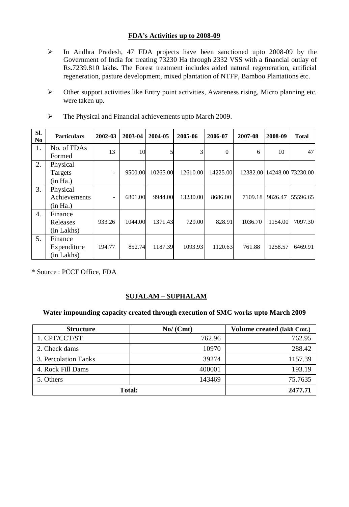#### **FDA's Activities up to 2008-09**

- $\triangleright$  In Andhra Pradesh, 47 FDA projects have been sanctioned upto 2008-09 by the Government of India for treating 73230 Ha through 2332 VSS with a financial outlay of Rs.7239.810 lakhs. The Forest treatment includes aided natural regeneration, artificial regeneration, pasture development, mixed plantation of NTFP, Bamboo Plantations etc.
- Other support activities like Entry point activities, Awareness rising, Micro planning etc. were taken up.

| SI.<br>No        | <b>Particulars</b>                   | 2002-03 | 2003-04 | 2004-05  | 2005-06  | 2006-07  | 2007-08 | 2008-09 | <b>Total</b>               |
|------------------|--------------------------------------|---------|---------|----------|----------|----------|---------|---------|----------------------------|
| 1.               | No. of FDAs<br>Formed                | 13      | 10      |          | 3        | $\Omega$ | 6       | 10      | 47                         |
| 2.               | Physical<br>Targets<br>(in Ha.)      |         | 9500.00 | 10265.00 | 12610.00 | 14225.00 |         |         | 12382.00 14248.00 73230.00 |
| 3.               | Physical<br>Achievements<br>(in Ha.) |         | 6801.00 | 9944.00  | 13230.00 | 8686.00  | 7109.18 | 9826.47 | 55596.65                   |
| $\overline{4}$ . | Finance<br>Releases<br>(in Lakhs)    | 933.26  | 1044.00 | 1371.43  | 729.00   | 828.91   | 1036.70 | 1154.00 | 7097.30                    |
| 5.               | Finance<br>Expenditure<br>(in Lakhs) | 194.77  | 852.74  | 1187.39  | 1093.93  | 1120.63  | 761.88  | 1258.57 | 6469.91                    |

The Physical and Financial achievements upto March 2009.

\* Source : PCCF Office, FDA

### **SUJALAM – SUPHALAM**

#### **Water impounding capacity created through execution of SMC works upto March 2009**

| <b>Structure</b>     | No/(Cmt) | Volume created (lakh Cmt.) |
|----------------------|----------|----------------------------|
| 1. CPT/CCT/ST        | 762.96   | 762.95                     |
| 2. Check dams        | 10970    | 288.42                     |
| 3. Percolation Tanks | 39274    | 1157.39                    |
| 4. Rock Fill Dams    | 400001   | 193.19                     |
| 5. Others            | 143469   | 75.7635                    |
| Total:               | 2477.71  |                            |
|                      |          |                            |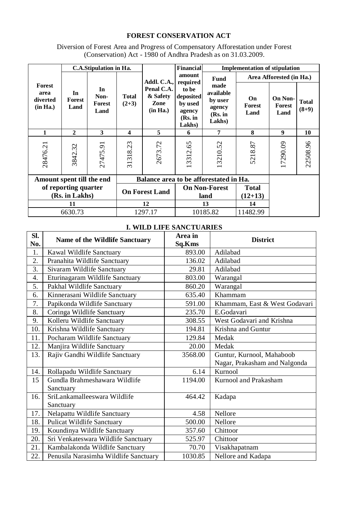## **FOREST CONSERVATION ACT**

Diversion of Forest Area and Progress of Compensatory Afforestation under Forest (Conservation) Act - 1980 of Andhra Pradesh as on 31.03.2009.

|                                        | C.A.Stipulation in Ha. |                              |                                        | <b>Financial</b><br><b>Implementation of stipulation</b> |                                                              |                                                             |                          |                           |                         |
|----------------------------------------|------------------------|------------------------------|----------------------------------------|----------------------------------------------------------|--------------------------------------------------------------|-------------------------------------------------------------|--------------------------|---------------------------|-------------------------|
|                                        |                        |                              |                                        | Addl. C.A.,                                              | amount<br>required                                           | Fund                                                        | Area Afforested (in Ha.) |                           |                         |
| Forest<br>area<br>diverted<br>(in Ha.) | In<br>Forest<br>Land   | In<br>Non-<br>Forest<br>Land | <b>Total</b><br>$(2+3)$                | Penal C.A.<br>& Safety<br>Zone<br>(in Ha.)               | to be<br>deposited<br>by used<br>agency<br>(Rs. in<br>Lakhs) | made<br>available<br>by user<br>agency<br>(Rs. in<br>Lakhs) | On<br>Forest<br>Land     | On Non-<br>Forest<br>Land | <b>Total</b><br>$(8+9)$ |
| 1                                      | $\mathbf{2}$           | 3                            | 4                                      | 5                                                        | 6                                                            | 7                                                           | 8                        | 9                         | 10                      |
| 28476.21                               | 3842.32                | 27475.91                     | 31318.23                               | 2673.72                                                  | 3312.65                                                      | 13210.52                                                    | 5218.87                  | 17290.09                  | 22508.96                |
| Amount spent till the end              |                        |                              | Balance area to be afforestated in Ha. |                                                          |                                                              |                                                             |                          |                           |                         |
| of reporting quarter<br>(Rs. in Lakhs) |                        | <b>On Forest Land</b>        |                                        | <b>On Non-Forest</b><br>land                             |                                                              | Total<br>$(12+13)$                                          |                          |                           |                         |
| 11                                     |                        | 12                           |                                        | 13                                                       |                                                              | 14                                                          |                          |                           |                         |
| 6630.73                                |                        | 1297.17                      |                                        | 10185.82                                                 |                                                              | 11482.99                                                    |                          |                           |                         |

### **I. WILD LIFE SANCTUARIES**

| SI.<br>No. | <b>Name of the Wildlife Sanctuary</b> | Area in<br>Sq.Kms | <b>District</b>               |
|------------|---------------------------------------|-------------------|-------------------------------|
| 1.         | Kawal Wildlife Sanctuary              | 893.00            | Adilabad                      |
| 2.         | Pranahita Wildlife Sanctuary          | 136.02            | Adilabad                      |
| 3.         | Sivaram Wildlife Sanctuary            | 29.81             | Adilabad                      |
| 4.         | Eturinagaram Wildlife Sanctuary       | 803.00            | Warangal                      |
| 5.         | Pakhal Wildlife Sanctuary             | 860.20            | Warangal                      |
| 6.         | Kinnerasani Wildlife Sanctuary        | 635.40            | Khammam                       |
| 7.         | Papikonda Wildlife Sanctuary          | 591.00            | Khammam, East & West Godavari |
| 8.         | Coringa Wildlife Sanctuary            | 235.70            | E.Godavari                    |
| 9.         | Kolleru Wildlife Sanctuary            | 308.55            | West Godavari and Krishna     |
| 10.        | Krishna Wildlife Sanctuary            | 194.81            | Krishna and Guntur            |
| 11.        | Pocharam Wildlife Sanctuary           | 129.84            | Medak                         |
| 12.        | Manjira Wildlife Sanctuary            | 20.00             | Medak                         |
| 13.        | Rajiv Gandhi Wildlife Sanctuary       | 3568.00           | Guntur, Kurnool, Mahaboob     |
|            |                                       |                   | Nagar, Prakasham and Nalgonda |
| 14.        | Rollapadu Wildlife Sanctuary          | 6.14              | Kurnool                       |
| 15         | Gundla Brahmeshawara Wildlife         | 1194.00           | Kurnool and Prakasham         |
|            | Sanctuary                             |                   |                               |
| 16.        | SriLankamalleeswara Wildlife          | 464.42            | Kadapa                        |
|            | Sanctuary                             |                   |                               |
| 17.        | Nelapattu Wildlife Sanctuary          | 4.58              | Nellore                       |
| 18.        | Pulicat Wildlife Sanctuary            | 500.00            | Nellore                       |
| 19.        | Koundinya Wildlife Sanctuary          | 357.60            | Chittoor                      |
| 20.        | Sri Venkateswara Wildlife Sanctuary   | 525.97            | Chittoor                      |
| 21.        | Kambalakonda Wildlife Sanctuary       | 70.70             | Visakhapatnam                 |
| 22.        | Penusila Narasimha Wildlife Sanctuary | 1030.85           | Nellore and Kadapa            |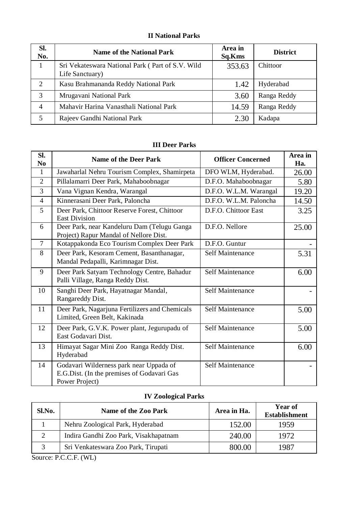## **II National Parks**

| SI.<br>No.     | <b>Name of the National Park</b>                                    | Area in<br>Sq.Kms | <b>District</b> |
|----------------|---------------------------------------------------------------------|-------------------|-----------------|
| 1              | Sri Vekateswara National Park (Part of S.V. Wild<br>Life Sanctuary) | 353.63            | Chittoor        |
| 2              | Kasu Brahmananda Reddy National Park                                | 1.42              | Hyderabad       |
| 3              | Mrugavani National Park                                             | 3.60              | Ranga Reddy     |
| $\overline{4}$ | Mahavir Harina Vanasthali National Park                             | 14.59             | Ranga Reddy     |
| 5              | Rajeev Gandhi National Park                                         | 2.30              | Kadapa          |

| <b>III Deer Parks</b> |
|-----------------------|
|-----------------------|

| SI.<br>N <sub>0</sub> | Name of the Deer Park                                                                                   | <b>Officer Concerned</b> | Area in<br>Ha. |
|-----------------------|---------------------------------------------------------------------------------------------------------|--------------------------|----------------|
| 1                     | Jawaharlal Nehru Tourism Complex, Shamirpeta                                                            | DFO WLM, Hyderabad.      | 26.00          |
| $\overline{c}$        | Pillalamarri Deer Park, Mahaboobnagar                                                                   | D.F.O. Mahaboobnagar     | 5.80           |
| 3                     | Vana Vignan Kendra, Warangal                                                                            | D.F.O. W.L.M. Warangal   | 19.20          |
| $\overline{4}$        | Kinnerasani Deer Park, Paloncha                                                                         | D.F.O. W.L.M. Paloncha   | 14.50          |
| 5                     | Deer Park, Chittoor Reserve Forest, Chittoor<br><b>East Division</b>                                    | D.F.O. Chittoor East     | 3.25           |
| 6                     | Deer Park, near Kandeluru Dam (Telugu Ganga<br>Project) Rapur Mandal of Nellore Dist.                   | D.F.O. Nellore           | 25.00          |
| $\tau$                | Kotappakonda Eco Tourism Complex Deer Park                                                              | D.F.O. Guntur            |                |
| 8                     | Deer Park, Kesoram Cement, Basanthanagar,<br>Mandal Pedapalli, Karimnagar Dist.                         | Self Maintenance         | 5.31           |
| 9                     | Deer Park Satyam Technology Centre, Bahadur<br>Palli Village, Ranga Reddy Dist.                         | Self Maintenance         | 6.00           |
| 10                    | Sanghi Deer Park, Hayatnagar Mandal,<br>Rangareddy Dist.                                                | Self Maintenance         |                |
| 11                    | Deer Park, Nagarjuna Fertilizers and Chemicals<br>Limited, Green Belt, Kakinada                         | Self Maintenance         | 5.00           |
| 12                    | Deer Park, G.V.K. Power plant, Jegurupadu of<br>East Godavari Dist.                                     | Self Maintenance         | 5.00           |
| 13                    | Himayat Sagar Mini Zoo Ranga Reddy Dist.<br>Hyderabad                                                   | Self Maintenance         | 6.00           |
| 14                    | Godavari Wilderness park near Uppada of<br>E.G.Dist. (In the premises of Godavari Gas<br>Power Project) | Self Maintenance         |                |

### **IV Zoological Parks**

| Sl.No. | Name of the Zoo Park                  | Area in Ha. | Year of<br><b>Establishment</b> |
|--------|---------------------------------------|-------------|---------------------------------|
|        | Nehru Zoological Park, Hyderabad      | 152.00      | 1959                            |
|        | Indira Gandhi Zoo Park, Visakhapatnam | 240.00      | 1972                            |
|        | Sri Venkateswara Zoo Park, Tirupati   | 800.00      | 1987                            |

Source: P.C.C.F. (WL)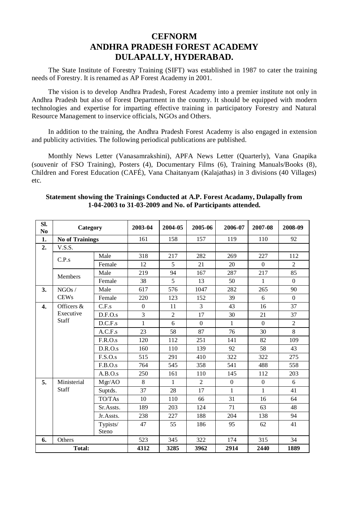## **CEFNORM ANDHRA PRADESH FOREST ACADEMY DULAPALLY, HYDERABAD.**

The State Institute of Forestry Training (SIFT) was established in 1987 to cater the training needs of Forestry. It is renamed as AP Forest Academy in 2001.

The vision is to develop Andhra Pradesh, Forest Academy into a premier institute not only in Andhra Pradesh but also of Forest Department in the country. It should be equipped with modern technologies and expertise for imparting effective training in participatory Forestry and Natural Resource Management to inservice officials, NGOs and Others.

In addition to the training, the Andhra Pradesh Forest Academy is also engaged in extension and publicity activities. The following periodical publications are published.

Monthly News Letter (Vanasamrakshini), APFA News Letter (Quarterly), Vana Gnapika (souvenir of FSO Training), Posters (4), Documentary Films (6), Training Manuals/Books (8), Children and Forest Education (CAFÉ), Vana Chaitanyam (Kalajathas) in 3 divisions (40 Villages) etc.

| Sl.<br>No. | Category               |           | 2003-04      | 2004-05        | 2005-06        | 2006-07      | 2007-08      | 2008-09        |
|------------|------------------------|-----------|--------------|----------------|----------------|--------------|--------------|----------------|
| 1.         | <b>No of Trainings</b> |           | 161          | 158            | 157            | 119          | 110          | 92             |
| 2.         | V.S.S.                 |           |              |                |                |              |              |                |
|            | Male<br>C.P.s          |           | 318          | 217            | 282            | 269          | 227          | 112            |
|            |                        | Female    |              | 5              | 21             | 20           | $\Omega$     | $\overline{c}$ |
|            | Members                | Male      | 219          | 94             | 167            | 287          | 217          | 85             |
|            |                        | Female    | 38           | 5              | 13             | 50           | 1            | $\Omega$       |
| 3.         | NGOs/                  | Male      | 617          | 576            | 1047           | 282          | 265          | 90             |
|            | <b>CEWs</b>            | Female    | 220          | 123            | 152            | 39           | 6            | $\Omega$       |
| 4.         | Officers &             | C.F.s     | $\mathbf{0}$ | 11             | 3              | 43           | 16           | 37             |
|            | Executive              | D.F.O.s   | 3            | $\overline{c}$ | 17             | 30           | 21           | 37             |
|            | Staff                  | D.C.F.s   | $\mathbf{1}$ | 6              | $\Omega$       | $\mathbf{1}$ | $\Omega$     | $\overline{c}$ |
|            |                        | A.C.F.s   | 23           | 58             | 87             | 76           | 30           | 8              |
|            |                        | F.R.O.s   | 120          | 112            | 251            | 141          | 82           | 109            |
|            |                        | D.R.O.s   | 160          | 110            | 139            | 92           | 58           | 43             |
|            |                        | F.S.O.s   | 515          | 291            | 410            | 322          | 322          | 275            |
|            |                        | F.B.O.s   | 764          | 545            | 358            | 541          | 488          | 558            |
|            |                        | A.B.O.s   | 250          | 161            | 110            | 145          | 112          | 203            |
| 5.         | Ministerial            | Mgr/AO    | 8            | 1              | $\overline{c}$ | $\mathbf{0}$ | $\mathbf{0}$ | 6              |
|            | Staff                  | Suptds.   | 37           | 28             | 17             | 1            | $\mathbf{1}$ | 41             |
|            |                        | TO/TAs    | 10           | 110            | 66             | 31           | 16           | 64             |
|            |                        | Sr.Assts. | 189          | 203            | 124            | 71           | 63           | 48             |
|            |                        | Jr.Assts. | 238          | 227            | 188            | 204          | 138          | 94             |
|            |                        | Typists/  | 47           | 55             | 186            | 95           | 62           | 41             |
|            |                        | Steno     |              |                |                |              |              |                |
| 6.         | Others                 |           | 523          | 345            | 322            | 174          | 315          | 34             |
|            | Total:                 |           | 4312         | 3285           | 3962           | 2914         | 2440         | 1889           |

#### **Statement showing the Trainings Conducted at A.P. Forest Acadamy, Dulapally from 1-04-2003 to 31-03-2009 and No. of Participants attended.**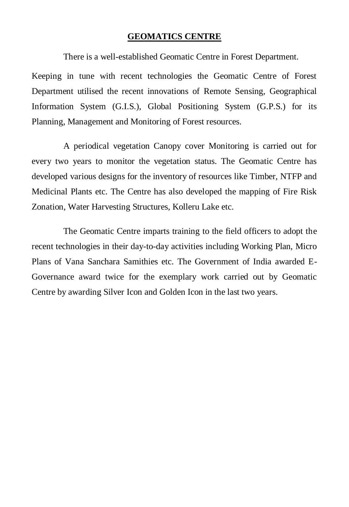#### **GEOMATICS CENTRE**

There is a well-established Geomatic Centre in Forest Department.

Keeping in tune with recent technologies the Geomatic Centre of Forest Department utilised the recent innovations of Remote Sensing, Geographical Information System (G.I.S.), Global Positioning System (G.P.S.) for its Planning, Management and Monitoring of Forest resources.

A periodical vegetation Canopy cover Monitoring is carried out for every two years to monitor the vegetation status. The Geomatic Centre has developed various designs for the inventory of resources like Timber, NTFP and Medicinal Plants etc. The Centre has also developed the mapping of Fire Risk Zonation, Water Harvesting Structures, Kolleru Lake etc.

The Geomatic Centre imparts training to the field officers to adopt the recent technologies in their day-to-day activities including Working Plan, Micro Plans of Vana Sanchara Samithies etc. The Government of India awarded E-Governance award twice for the exemplary work carried out by Geomatic Centre by awarding Silver Icon and Golden Icon in the last two years.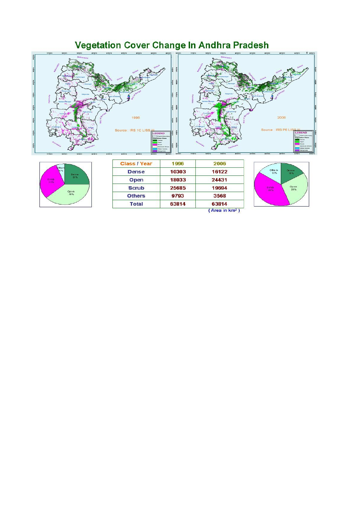

63814

**Total** 

63814

(Area in km<sup>2</sup>)

# **Vegetation Cover Change In Andhra Pradesh**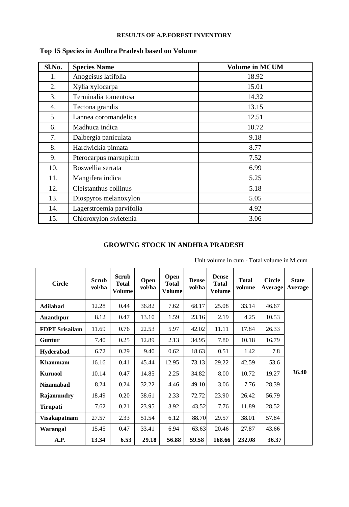#### **RESULTS OF A.P.FOREST INVENTORY**

| Sl.No. | <b>Species Name</b>      | <b>Volume in MCUM</b> |
|--------|--------------------------|-----------------------|
| 1.     | Anogeisus latifolia      | 18.92                 |
| 2.     | Xylia xylocarpa          | 15.01                 |
| 3.     | Terminalia tomentosa     | 14.32                 |
| 4.     | Tectona grandis          | 13.15                 |
| 5.     | Lannea coromandelica     | 12.51                 |
| 6.     | Madhuca indica           | 10.72                 |
| 7.     | Dalbergia paniculata     | 9.18                  |
| 8.     | Hardwickia pinnata       | 8.77                  |
| 9.     | Pterocarpus marsupium    | 7.52                  |
| 10.    | Boswellia serrata        | 6.99                  |
| 11.    | Mangifera indica         | 5.25                  |
| 12.    | Cleistanthus collinus    | 5.18                  |
| 13.    | Diospyros melanoxylon    | 5.05                  |
| 14.    | Lagerstroemia parvifolia | 4.92                  |
| 15.    | Chloroxylon swietenia    | 3.06                  |

## **Top 15 Species in Andhra Pradesh based on Volume**

### **GROWING STOCK IN ANDHRA PRADESH**

| <b>Circle</b>         | Scrub<br>vol/ha | Scrub<br><b>Total</b><br><b>Volume</b> | Open<br>vol/ha | Open<br><b>Total</b><br><b>Volume</b> | <b>Dense</b><br>vol/ha | <b>Dense</b><br>Total<br><b>Volume</b> | <b>Total</b><br>volume | <b>Circle</b><br>Average | <b>State</b><br>Average |
|-----------------------|-----------------|----------------------------------------|----------------|---------------------------------------|------------------------|----------------------------------------|------------------------|--------------------------|-------------------------|
| Adilabad              | 12.28           | 0.44                                   | 36.82          | 7.62                                  | 68.17                  | 25.08                                  | 33.14                  | 46.67                    |                         |
| Ananthpur             | 8.12            | 0.47                                   | 13.10          | 1.59                                  | 23.16                  | 2.19                                   | 4.25                   | 10.53                    |                         |
| <b>FDPT Srisailam</b> | 11.69           | 0.76                                   | 22.53          | 5.97                                  | 42.02                  | 11.11                                  | 17.84                  | 26.33                    |                         |
| Guntur                | 7.40            | 0.25                                   | 12.89          | 2.13                                  | 34.95                  | 7.80                                   | 10.18                  | 16.79                    |                         |
| Hyderabad             | 6.72            | 0.29                                   | 9.40           | 0.62                                  | 18.63                  | 0.51                                   | 1.42                   | 7.8                      |                         |
| <b>Khammam</b>        | 16.16           | 0.41                                   | 45.44          | 12.95                                 | 73.13                  | 29.22                                  | 42.59                  | 53.6                     |                         |
| Kurnool               | 10.14           | 0.47                                   | 14.85          | 2.25                                  | 34.82                  | 8.00                                   | 10.72                  | 19.27                    | 36.40                   |
| <b>Nizamabad</b>      | 8.24            | 0.24                                   | 32.22          | 4.46                                  | 49.10                  | 3.06                                   | 7.76                   | 28.39                    |                         |
| Rajamundry            | 18.49           | 0.20                                   | 38.61          | 2.33                                  | 72.72                  | 23.90                                  | 26.42                  | 56.79                    |                         |
| Tirupati              | 7.62            | 0.21                                   | 23.95          | 3.92                                  | 43.52                  | 7.76                                   | 11.89                  | 28.52                    |                         |
| Visakapatnam          | 27.57           | 2.33                                   | 51.54          | 6.12                                  | 88.70                  | 29.57                                  | 38.01                  | 57.84                    |                         |
| Warangal              | 15.45           | 0.47                                   | 33.41          | 6.94                                  | 63.63                  | 20.46                                  | 27.87                  | 43.66                    |                         |
| A.P.                  | 13.34           | 6.53                                   | 29.18          | 56.88                                 | 59.58                  | 168.66                                 | 232.08                 | 36.37                    |                         |

Unit volume in cum - Total volume in M.cum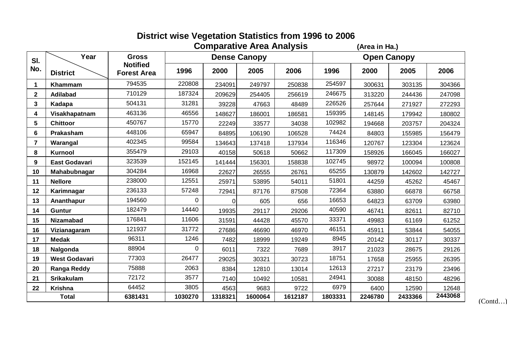|                |                      |                                       | <b>Comparative Area Analysis</b> | (Area in Ha.)    |                     |         |                    |         |         |         |  |  |
|----------------|----------------------|---------------------------------------|----------------------------------|------------------|---------------------|---------|--------------------|---------|---------|---------|--|--|
| SI.            | Year                 | <b>Gross</b>                          |                                  |                  | <b>Dense Canopy</b> |         | <b>Open Canopy</b> |         |         |         |  |  |
| No.            | <b>District</b>      | <b>Notified</b><br><b>Forest Area</b> | 1996                             | 2000             | 2005                | 2006    | 1996               | 2000    | 2005    | 2006    |  |  |
| 1              | Khammam              | 794535                                | 220808                           | 234091           | 249797              | 250838  | 254597             | 300631  | 303135  | 304366  |  |  |
| $\overline{2}$ | Adilabad             | 710129                                | 187324                           | 209629           | 254405              | 256619  | 246675             | 313220  | 244436  | 247098  |  |  |
| 3              | Kadapa               | 504131                                | 31281                            | 39228            | 47663               | 48489   | 226526             | 257644  | 271927  | 272293  |  |  |
| 4              | Visakhapatnam        | 463136                                | 46556                            | 148627           | 186001              | 186581  | 159395             | 148145  | 179942  | 180802  |  |  |
| 5              | Chittoor             | 450767                                | 15770                            | 22249            | 33577               | 34038   | 102982             | 194668  | 203757  | 204324  |  |  |
| 6              | Prakasham            | 448106                                | 65947                            | 84895            | 106190              | 106528  | 74424              | 84803   | 155985  | 156479  |  |  |
| 7              | Warangal             | 402345                                | 99584                            | 134643           | 137418              | 137934  | 116346             | 120767  | 123304  | 123624  |  |  |
| 8              | Kurnool              | 355479                                | 29103                            | 40158            | 50618               | 50662   | 117309             | 158926  | 166045  | 166027  |  |  |
| 9              | East Godavari        | 323539                                | 152145                           | 141444<br>156301 |                     | 158838  | 102745             | 98972   | 100094  | 100808  |  |  |
| 10             | Mahabubnagar         | 304284                                | 16968                            | 22627            | 26555               | 26761   | 65255              | 130879  | 142602  | 142727  |  |  |
| 11             | <b>Nellore</b>       | 238000                                | 12551                            | 25971            | 53895               | 54011   | 51801              | 44259   | 45262   | 45467   |  |  |
| 12             | Karimnagar           | 236133                                | 57248                            | 72941            | 87176               | 87508   | 72364              | 63880   | 66878   | 66758   |  |  |
| 13             | Ananthapur           | 194560                                | 0                                | $\Omega$         | 605                 | 656     | 16653              | 64823   | 63709   | 63980   |  |  |
| 14             | Guntur               | 182479                                | 14440                            | 19935            | 29117               | 29206   | 40590              | 46741   | 82611   | 82710   |  |  |
| 15             | <b>Nizamabad</b>     | 176841                                | 11606                            | 31591            | 44428               | 45570   | 33371              | 49983   | 61169   | 61252   |  |  |
| 16             | Vizianagaram         | 121937                                | 31772                            | 27686            | 46690               | 46970   | 46151              | 45911   | 53844   | 54055   |  |  |
| 17             | <b>Medak</b>         | 96311                                 | 1246                             | 7482             | 18999               | 19249   | 8945               | 20142   | 30117   | 30337   |  |  |
| 18             | Nalgonda             | 88904                                 | 0                                | 6011             | 7322                | 7689    | 3917               | 21023   | 28675   | 29126   |  |  |
| 19             | <b>West Godavari</b> | 77303                                 | 26477                            | 29025            | 30321               | 30723   | 18751              | 17658   | 25955   | 26395   |  |  |
| 20             | Ranga Reddy          | 75888                                 | 2063                             | 8384             | 12810               | 13014   | 12613              | 27217   | 23179   | 23496   |  |  |
| 21             | <b>Srikakulam</b>    | 72172                                 | 3577                             | 7140             | 10492               | 10581   | 24941              | 30088   | 48150   | 48296   |  |  |
| 22             | Krishna              | 64452                                 | 3805                             | 4563             | 9683                | 9722    | 6979               | 6400    | 12590   | 12648   |  |  |
| Total          |                      | 6381431                               | 1030270                          | 1318321          | 1600064             | 1612187 | 1803331            | 2246780 | 2433366 | 2443068 |  |  |

(Contd…)

**District wise Vegetation Statistics from 1996 to 2006**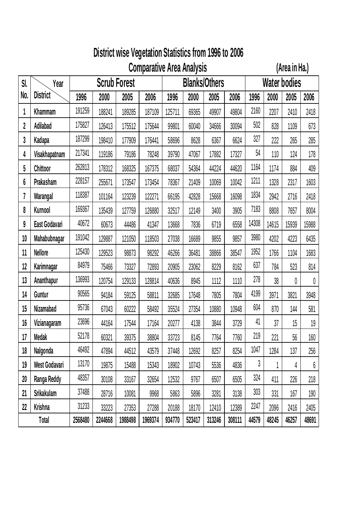# **District wise Vegetation Statistics from 1996 to 2006**

**Comparative Area Analysis (Area in Ha.)**

| SI. | Year            | <b>Scrub Forest</b> |         |         |         |        | <b>Blanks/Others</b> |        |        |       | Water bodies |       |                  |  |
|-----|-----------------|---------------------|---------|---------|---------|--------|----------------------|--------|--------|-------|--------------|-------|------------------|--|
| No. | <b>District</b> | 1996                | 2000    | 2005    | 2006    | 1996   | 2000                 | 2005   | 2006   | 1996  | 2000         | 2005  | 2006             |  |
| 1   | Khammam         | 191259              | 188241  | 189285  | 187109  | 125711 | 69365                | 49907  | 49804  | 2160  | 2207         | 2410  | 2418             |  |
| 2   | Adilabad        | 175827              | 126413  | 175512  | 175644  | 99801  | 60040                | 34666  | 30094  | 502   | 828          | 1109  | 673              |  |
| 3   | Kadapa          | 187299              | 198410  | 177909  | 176441  | 58696  | 8628                 | 6367   | 6624   | 327   | 222          | 265   | 285              |  |
| 4   | Visakhapatnam   | 217341              | 119186  | 79186   | 78248   | 39790  | 47067                | 17882  | 17327  | 54    | 110          | 124   | 178              |  |
| 5   | Chittoor        | 262813              | 178312  | 168325  | 167375  | 68037  | 54364                | 44224  | 44620  | 1164  | 1174         | 884   | 409              |  |
| 6   | Prakasham       | 228157              | 255671  | 173547  | 173454  | 78367  | 21409                | 10069  | 10042  | 1211  | 1328         | 2317  | 1603             |  |
| 7   | Warangal        | 118387              | 101164  | 123239  | 122271  | 66195  | 42828                | 15668  | 16098  | 1834  | 2942         | 2716  | 2418             |  |
| 8   | Kurnool         | 169367              | 135439  | 127759  | 126880  | 32517  | 12149                | 3400   | 3905   | 7183  | 8808         | 7657  | 8004             |  |
| 9   | East Godavari   | 40672               | 60673   | 44486   | 41347   | 13668  | 7836                 | 6719   | 6558   | 14308 | 14615        | 15939 | 15988            |  |
| 10  | Mahabubnagar    | 191042              | 129887  | 121050  | 118503  | 27038  | 16689                | 9855   | 9857   | 3980  | 4202         | 4223  | 6435             |  |
| 11  | Nellore         | 125430              | 129523  | 98873   | 98292   | 46266  | 36481                | 38866  | 38547  | 1952  | 1766         | 1104  | 1683             |  |
| 12  | Karimnagar      | 84979               | 75466   | 73327   | 72893   | 20905  | 23062                | 8229   | 8162   | 637   | 784          | 523   | 814              |  |
| 13  | Ananthapur      | 136993              | 120754  | 129133  | 128814  | 40636  | 8945                 | 1112   | 1110   | 278   | 38           | 0     | $\pmb{0}$        |  |
| 14  | Guntur          | 90565               | 94184   | 59125   | 58811   | 32685  | 17648                | 7805   | 7804   | 4199  | 3971         | 3821  | 3948             |  |
| 15  | Nizamabad       | 95736               | 67043   | 60222   | 58492   | 35524  | 27354                | 10880  | 10948  | 604   | 870          | 144   | 581              |  |
| 16  | Vizianagaram    | 23696               | 44164   | 17544   | 17164   | 20277  | 4138                 | 3844   | 3729   | 41    | 37           | 15    | 19               |  |
| 17  | Medak           | 52178               | 60321   | 39375   | 38804   | 33723  | 8145                 | 7764   | 7760   | 219   | 221          | 56    | 160              |  |
| 18  | Nalgonda        | 46492               | 47894   | 44512   | 43579   | 37448  | 12692                | 8257   | 8254   | 1047  | 1284         | 137   | 256              |  |
| 19  | West Godavari   | 13170               | 19875   | 15488   | 15343   | 18902  | 10743                | 5536   | 4836   | 3     | 1            | 4     | $\boldsymbol{6}$ |  |
| 20  | Ranga Reddy     | 48357               | 30108   | 33167   | 32654   | 12532  | 9767                 | 6507   | 6505   | 324   | 411          | 226   | 218              |  |
| 21  | Srikakulam      | 37488               | 28716   | 10081   | 9968    | 5863   | 5896                 | 3281   | 3138   | 303   | 331          | 167   | 190              |  |
| 22  | Krishna         | 31233               | 33223   | 27353   | 27288   | 20188  | 18170                | 12410  | 12389  | 2247  | 2096         | 2416  | 2405             |  |
|     | Total           | 2568480             | 2244668 | 1988498 | 1969374 | 934770 | 523417               | 313246 | 308111 | 44579 | 48245        | 46257 | 48691            |  |